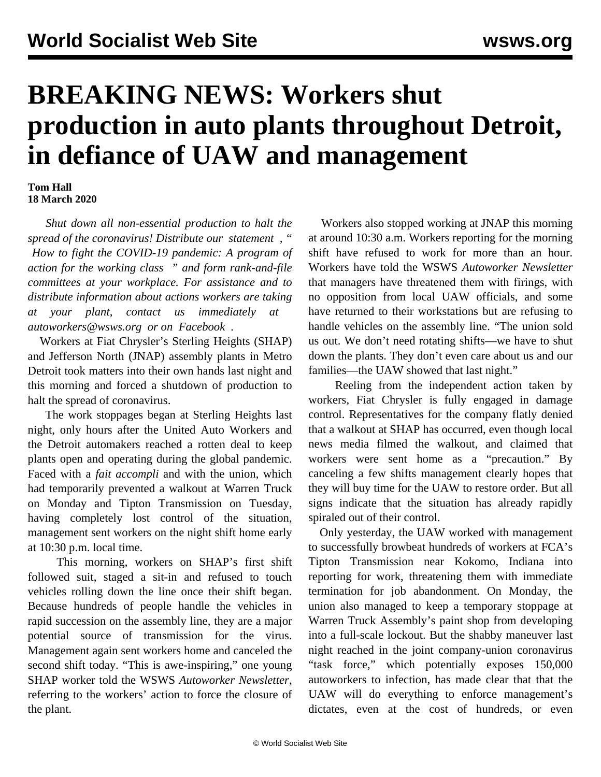## **BREAKING NEWS: Workers shut production in auto plants throughout Detroit, in defiance of UAW and management**

**Tom Hall 18 March 2020**

 *Shut down all non-essential production to halt the spread of the coronavirus! Distribute our [statement](/en/articles/2020/03/17/pers-m17.html) , " [How to fight the COVID-19 pandemic: A program of](/en/articles/2020/03/17/pers-m17.html) [action for the working class](/en/articles/2020/03/17/pers-m17.html) " and form rank-and-file committees at your workplace. For assistance and to distribute information about actions workers are taking at your plant, contact us immediately at [autoworkers@wsws.org](mailto:autoworkers@wsws.org) or on [Facebook](https://www.facebook.com/autoworker.newsletter/) .*

 Workers at Fiat Chrysler's Sterling Heights (SHAP) and Jefferson North (JNAP) assembly plants in Metro Detroit took matters into their own hands last night and this morning and forced a shutdown of production to halt the spread of coronavirus.

 The work stoppages began at Sterling Heights last night, only hours after the United Auto Workers and the Detroit automakers reached a [rotten deal](/en/articles/2020/03/18/tipt-m18.html) to keep plants open and operating during the global pandemic. Faced with a *fait accompli* and with the union, which had temporarily prevented a walkout at Warren Truck on Monday and Tipton Transmission on Tuesday, having completely lost control of the situation, management sent workers on the night shift home early at 10:30 p.m. local time.

 This morning, workers on SHAP's first shift followed suit, staged a sit-in and refused to touch vehicles rolling down the line once their shift began. Because hundreds of people handle the vehicles in rapid succession on the assembly line, they are a major potential source of transmission for the virus. Management again sent workers home and canceled the second shift today. "This is awe-inspiring," one young SHAP worker told the WSWS *Autoworker Newsletter*, referring to the workers' action to force the closure of the plant.

 Workers also stopped working at JNAP this morning at around 10:30 a.m. Workers reporting for the morning shift have refused to work for more than an hour. Workers have told the WSWS *Autoworker Newsletter* that managers have threatened them with firings, with no opposition from local UAW officials, and some have returned to their workstations but are refusing to handle vehicles on the assembly line. "The union sold us out. We don't need rotating shifts—we have to shut down the plants. They don't even care about us and our families—the UAW showed that last night."

 Reeling from the independent action taken by workers, Fiat Chrysler is fully engaged in damage control. Representatives for the company flatly denied that a walkout at SHAP has occurred, even though local news media [filmed](https://www.fox2detroit.com/news/fca-workers-walk-off-the-job-after-employee-tests-positive) the walkout, and claimed that workers were sent home as a "precaution." By canceling a few shifts management clearly hopes that they will buy time for the UAW to restore order. But all signs indicate that the situation has already rapidly spiraled out of their control.

 Only yesterday, the UAW worked with management to successfully browbeat hundreds of workers at FCA's Tipton Transmission near Kokomo, Indiana into reporting for work, threatening them with immediate termination for job abandonment. On Monday, the union also managed to keep a temporary stoppage at Warren Truck Assembly's paint shop from developing into a full-scale lockout. But the shabby maneuver last night reached in the joint company-union coronavirus "task force," which potentially exposes 150,000 autoworkers to infection, has made clear that that the UAW will do everything to enforce management's dictates, even at the cost of hundreds, or even